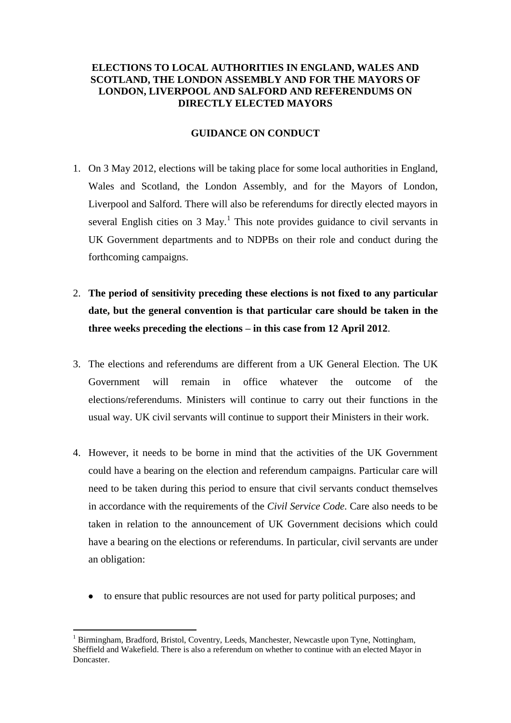# **ELECTIONS TO LOCAL AUTHORITIES IN ENGLAND, WALES AND SCOTLAND, THE LONDON ASSEMBLY AND FOR THE MAYORS OF LONDON, LIVERPOOL AND SALFORD AND REFERENDUMS ON DIRECTLY ELECTED MAYORS**

### **GUIDANCE ON CONDUCT**

- 1. On 3 May 2012, elections will be taking place for some local authorities in England, Wales and Scotland, the London Assembly, and for the Mayors of London, Liverpool and Salford. There will also be referendums for directly elected mayors in several English cities on  $3$  May.<sup>1</sup> This note provides guidance to civil servants in UK Government departments and to NDPBs on their role and conduct during the forthcoming campaigns.
- 2. **The period of sensitivity preceding these elections is not fixed to any particular date, but the general convention is that particular care should be taken in the three weeks preceding the elections – in this case from 12 April 2012**.
- 3. The elections and referendums are different from a UK General Election. The UK Government will remain in office whatever the outcome of the elections/referendums. Ministers will continue to carry out their functions in the usual way. UK civil servants will continue to support their Ministers in their work.
- 4. However, it needs to be borne in mind that the activities of the UK Government could have a bearing on the election and referendum campaigns. Particular care will need to be taken during this period to ensure that civil servants conduct themselves in accordance with the requirements of the *Civil Service Code.* Care also needs to be taken in relation to the announcement of UK Government decisions which could have a bearing on the elections or referendums. In particular, civil servants are under an obligation:
	- to ensure that public resources are not used for party political purposes; and

1

 $<sup>1</sup>$  Birmingham, Bradford, Bristol, Coventry, Leeds, Manchester, Newcastle upon Tyne, Nottingham,</sup> Sheffield and Wakefield. There is also a referendum on whether to continue with an elected Mayor in **Doncaster**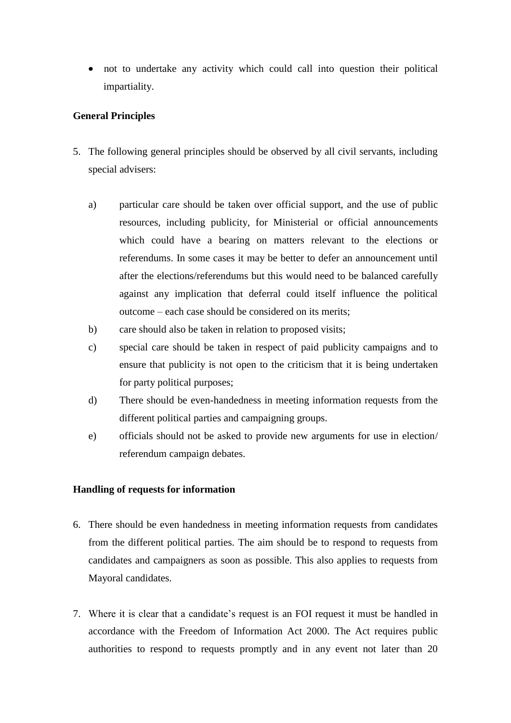not to undertake any activity which could call into question their political impartiality.

# **General Principles**

- 5. The following general principles should be observed by all civil servants, including special advisers:
	- a) particular care should be taken over official support, and the use of public resources, including publicity, for Ministerial or official announcements which could have a bearing on matters relevant to the elections or referendums. In some cases it may be better to defer an announcement until after the elections/referendums but this would need to be balanced carefully against any implication that deferral could itself influence the political outcome – each case should be considered on its merits;
	- b) care should also be taken in relation to proposed visits;
	- c) special care should be taken in respect of paid publicity campaigns and to ensure that publicity is not open to the criticism that it is being undertaken for party political purposes;
	- d) There should be even-handedness in meeting information requests from the different political parties and campaigning groups.
	- e) officials should not be asked to provide new arguments for use in election/ referendum campaign debates.

## **Handling of requests for information**

- 6. There should be even handedness in meeting information requests from candidates from the different political parties. The aim should be to respond to requests from candidates and campaigners as soon as possible. This also applies to requests from Mayoral candidates.
- 7. Where it is clear that a candidate's request is an FOI request it must be handled in accordance with the Freedom of Information Act 2000. The Act requires public authorities to respond to requests promptly and in any event not later than 20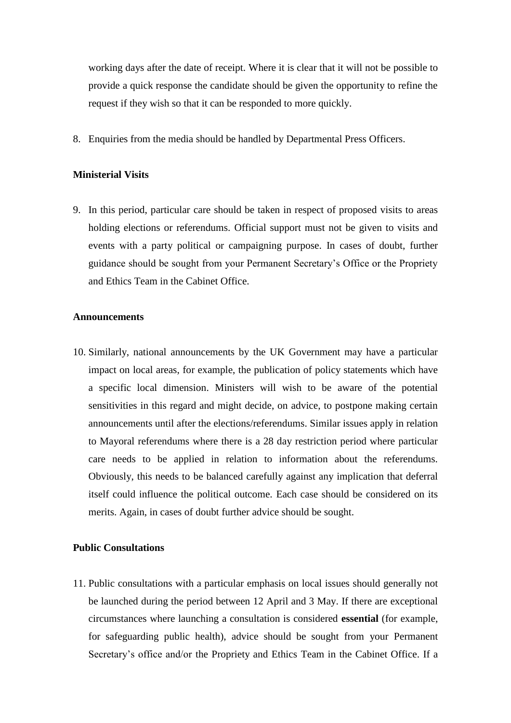working days after the date of receipt. Where it is clear that it will not be possible to provide a quick response the candidate should be given the opportunity to refine the request if they wish so that it can be responded to more quickly.

8. Enquiries from the media should be handled by Departmental Press Officers.

# **Ministerial Visits**

9. In this period, particular care should be taken in respect of proposed visits to areas holding elections or referendums. Official support must not be given to visits and events with a party political or campaigning purpose. In cases of doubt, further guidance should be sought from your Permanent Secretary's Office or the Propriety and Ethics Team in the Cabinet Office.

### **Announcements**

10. Similarly, national announcements by the UK Government may have a particular impact on local areas, for example, the publication of policy statements which have a specific local dimension. Ministers will wish to be aware of the potential sensitivities in this regard and might decide, on advice, to postpone making certain announcements until after the elections/referendums. Similar issues apply in relation to Mayoral referendums where there is a 28 day restriction period where particular care needs to be applied in relation to information about the referendums. Obviously, this needs to be balanced carefully against any implication that deferral itself could influence the political outcome. Each case should be considered on its merits. Again, in cases of doubt further advice should be sought.

#### **Public Consultations**

11. Public consultations with a particular emphasis on local issues should generally not be launched during the period between 12 April and 3 May. If there are exceptional circumstances where launching a consultation is considered **essential** (for example, for safeguarding public health), advice should be sought from your Permanent Secretary's office and/or the Propriety and Ethics Team in the Cabinet Office. If a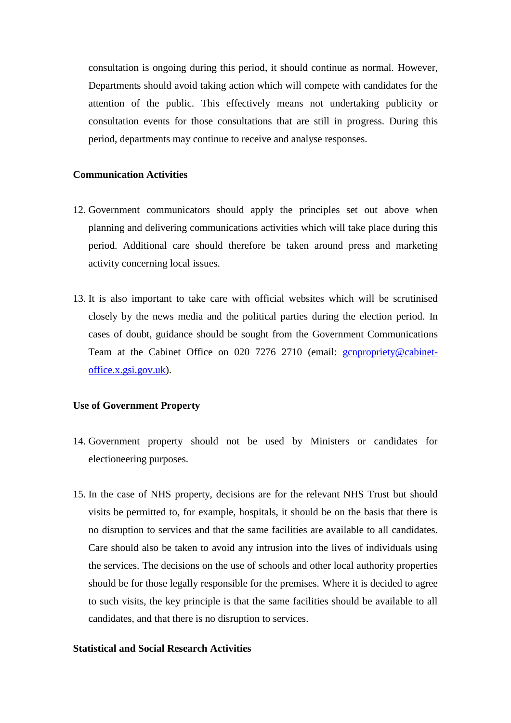consultation is ongoing during this period, it should continue as normal. However, Departments should avoid taking action which will compete with candidates for the attention of the public. This effectively means not undertaking publicity or consultation events for those consultations that are still in progress. During this period, departments may continue to receive and analyse responses.

# **Communication Activities**

- 12. Government communicators should apply the principles set out above when planning and delivering communications activities which will take place during this period. Additional care should therefore be taken around press and marketing activity concerning local issues.
- 13. It is also important to take care with official websites which will be scrutinised closely by the news media and the political parties during the election period. In cases of doubt, guidance should be sought from the Government Communications Team at the Cabinet Office on 020 7276 2710 (email: [gcnpropriety@cabinet](mailto:gcnpropriety@cabinet-office.x.gsi.gov.uk)[office.x.gsi.gov.uk\)](mailto:gcnpropriety@cabinet-office.x.gsi.gov.uk).

#### **Use of Government Property**

- 14. Government property should not be used by Ministers or candidates for electioneering purposes.
- 15. In the case of NHS property, decisions are for the relevant NHS Trust but should visits be permitted to, for example, hospitals, it should be on the basis that there is no disruption to services and that the same facilities are available to all candidates. Care should also be taken to avoid any intrusion into the lives of individuals using the services. The decisions on the use of schools and other local authority properties should be for those legally responsible for the premises. Where it is decided to agree to such visits, the key principle is that the same facilities should be available to all candidates, and that there is no disruption to services.

### **Statistical and Social Research Activities**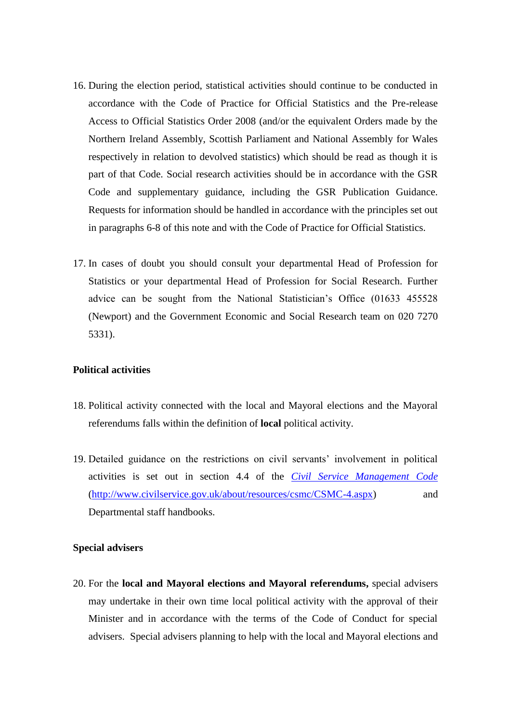- 16. During the election period, statistical activities should continue to be conducted in accordance with the Code of Practice for Official Statistics and the Pre-release Access to Official Statistics Order 2008 (and/or the equivalent Orders made by the Northern Ireland Assembly, Scottish Parliament and National Assembly for Wales respectively in relation to devolved statistics) which should be read as though it is part of that Code. Social research activities should be in accordance with the GSR Code and supplementary guidance, including the GSR Publication Guidance. Requests for information should be handled in accordance with the principles set out in paragraphs 6-8 of this note and with the Code of Practice for Official Statistics.
- 17. In cases of doubt you should consult your departmental Head of Profession for Statistics or your departmental Head of Profession for Social Research. Further advice can be sought from the National Statistician's Office (01633 455528 (Newport) and the Government Economic and Social Research team on 020 7270 5331).

#### **Political activities**

- 18. Political activity connected with the local and Mayoral elections and the Mayoral referendums falls within the definition of **local** political activity.
- 19. Detailed guidance on the restrictions on civil servants' involvement in political activities is set out in section 4.4 of the *[Civil Service Management Code](http://www.civilservice.gov.uk/Assets/civil-service-management-code-2011_tcm6-3222.doc)* [\(http://www.civilservice.gov.uk/about/resources/csmc/CSMC-4.aspx\)](http://www.civilservice.gov.uk/about/resources/csmc/CSMC-4.aspx) and Departmental staff handbooks.

### **Special advisers**

20. For the **local and Mayoral elections and Mayoral referendums,** special advisers may undertake in their own time local political activity with the approval of their Minister and in accordance with the terms of the Code of Conduct for special advisers. Special advisers planning to help with the local and Mayoral elections and